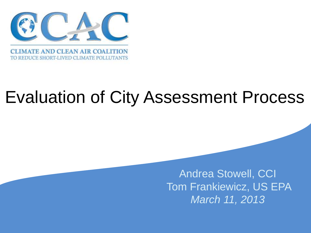

#### Evaluation of City Assessment Process

 Tom Frankiewicz, US EPA Andrea Stowell, CCI *March 11, 2013*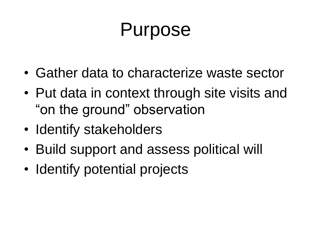### Purpose

- Gather data to characterize waste sector
- Put data in context through site visits and "on the ground" observation
- Identify stakeholders
- Build support and assess political will
- Identify potential projects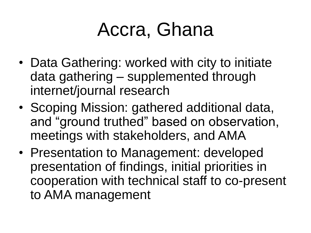#### Accra, Ghana

- Data Gathering: worked with city to initiate data gathering – supplemented through internet/journal research
- Scoping Mission: gathered additional data, and "ground truthed" based on observation, meetings with stakeholders, and AMA
- Presentation to Management: developed presentation of findings, initial priorities in cooperation with technical staff to co-present to AMA management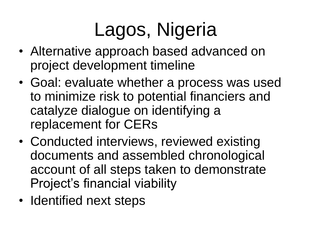# Lagos, Nigeria

- Alternative approach based advanced on project development timeline
- Goal: evaluate whether a process was used to minimize risk to potential financiers and catalyze dialogue on identifying a replacement for CERs
- Conducted interviews, reviewed existing documents and assembled chronological account of all steps taken to demonstrate Project's financial viability
- Identified next steps